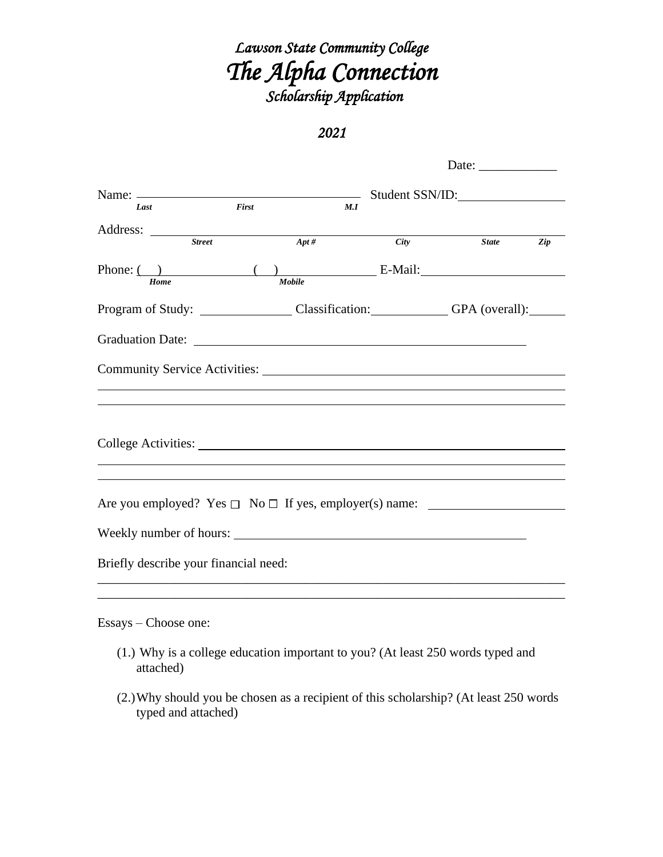# *Lawson State Community College The Alpha Connection Scholarship Application*

### *2021*

|                                                                                                                                                                                                                                                                                                                                                                                                                    |                                        |                                                  |             | Date: $\frac{1}{\sqrt{1-\frac{1}{2}} \cdot \frac{1}{2}}$                        |     |  |
|--------------------------------------------------------------------------------------------------------------------------------------------------------------------------------------------------------------------------------------------------------------------------------------------------------------------------------------------------------------------------------------------------------------------|----------------------------------------|--------------------------------------------------|-------------|---------------------------------------------------------------------------------|-----|--|
|                                                                                                                                                                                                                                                                                                                                                                                                                    | Name: $\frac{1}{2}$<br>Student SSN/ID: |                                                  |             |                                                                                 |     |  |
| Last                                                                                                                                                                                                                                                                                                                                                                                                               | First                                  | M.I                                              |             |                                                                                 |     |  |
| Address: $\frac{1}{1 + \frac{1}{1 + \frac{1}{1 + \frac{1}{1 + \frac{1}{1 + \frac{1}{1 + \frac{1}{1 + \frac{1}{1 + \frac{1}{1 + \frac{1}{1 + \frac{1}{1 + \frac{1}{1 + \frac{1}{1 + \frac{1}{1 + \frac{1}{1 + \frac{1}{1 + \frac{1}{1 + \frac{1}{1 + \frac{1}{1 + \frac{1}{1 + \frac{1}{1 + \frac{1}{1 + \frac{1}{1 + \frac{1}{1 + \frac{1}{1 + \frac{1}{1 + \frac{1}{1 + \frac{1}{1 + \frac{1}{1 + \frac{1}{1 + \$ | <b>Street</b>                          | $Apt\#$                                          | <b>City</b> | <b>State</b>                                                                    | Zip |  |
| Home                                                                                                                                                                                                                                                                                                                                                                                                               |                                        | Mobile                                           |             | $\angle$ E-Mail:                                                                |     |  |
|                                                                                                                                                                                                                                                                                                                                                                                                                    |                                        | Program of Study: Classification: GPA (overall): |             |                                                                                 |     |  |
|                                                                                                                                                                                                                                                                                                                                                                                                                    |                                        |                                                  |             |                                                                                 |     |  |
|                                                                                                                                                                                                                                                                                                                                                                                                                    |                                        |                                                  |             |                                                                                 |     |  |
|                                                                                                                                                                                                                                                                                                                                                                                                                    |                                        |                                                  |             |                                                                                 |     |  |
| College Activities:                                                                                                                                                                                                                                                                                                                                                                                                |                                        |                                                  |             |                                                                                 |     |  |
|                                                                                                                                                                                                                                                                                                                                                                                                                    |                                        |                                                  |             |                                                                                 |     |  |
| Weekly number of hours:                                                                                                                                                                                                                                                                                                                                                                                            |                                        |                                                  |             |                                                                                 |     |  |
| Briefly describe your financial need:                                                                                                                                                                                                                                                                                                                                                                              |                                        |                                                  |             |                                                                                 |     |  |
|                                                                                                                                                                                                                                                                                                                                                                                                                    |                                        |                                                  |             |                                                                                 |     |  |
| Essays – Choose one:                                                                                                                                                                                                                                                                                                                                                                                               |                                        |                                                  |             |                                                                                 |     |  |
| attached)                                                                                                                                                                                                                                                                                                                                                                                                          |                                        |                                                  |             | (1.) Why is a college education important to you? (At least 250 words typed and |     |  |

(2.)Why should you be chosen as a recipient of this scholarship? (At least 250 words typed and attached)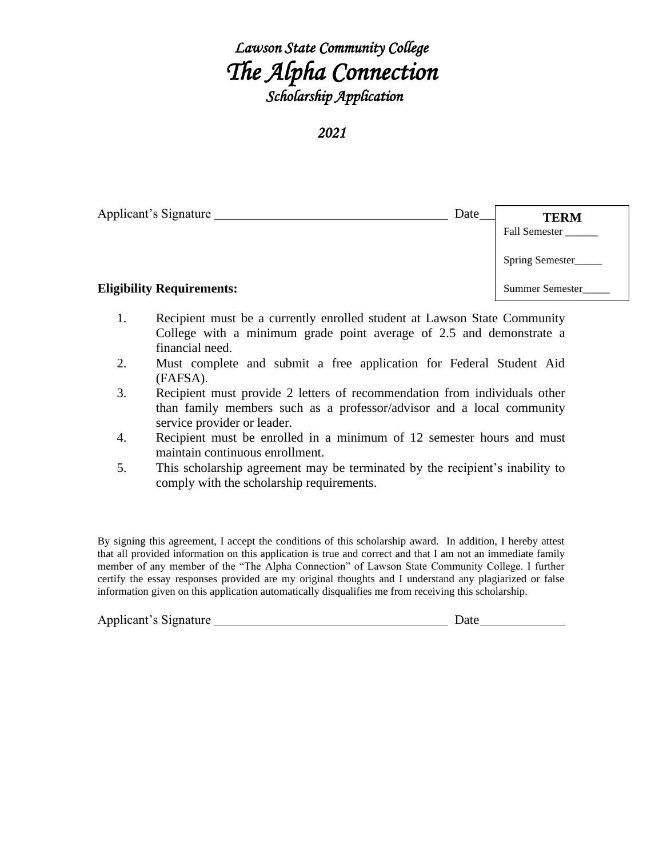## *Lawson State Community College The Alpha Connection Scholarship Application*

*2021* 

| Applicant's Signature            | Date | <b>TERM</b><br>Fall Semester |
|----------------------------------|------|------------------------------|
|                                  |      | Spring Semester              |
| <b>Eligibility Requirements:</b> |      | <b>Summer Semester</b>       |

- 1. Recipient must be a currently enrolled student at Lawson State Community College with a minimum grade point average of 2.5 and demonstrate a financial need.
- 2. Must complete and submit a free application for Federal Student Aid (FAFSA).
- 3. Recipient must provide 2 letters of recommendation from individuals other than family members such as a professor/advisor and a local community service provider or leader.
- 4. Recipient must be enrolled in a minimum of 12 semester hours and must maintain continuous enrollment.
- 5. This scholarship agreement may be terminated by the recipient's inability to comply with the scholarship requirements.

By signing this agreement, I accept the conditions of this scholarship award. In addition, I hereby attest that all provided information on this application is true and correct and that I am not an immediate family member of any member of the "The Alpha Connection" of Lawson State Community College. I further certify the essay responses provided are my original thoughts and I understand any plagiarized or false information given on this application automatically disqualifies me from receiving this scholarship.

| Applicant's Signature | Date |
|-----------------------|------|
|                       |      |